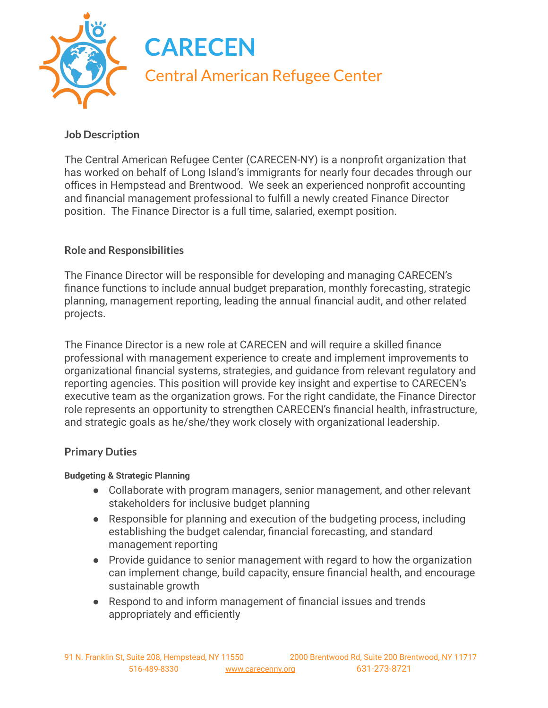

# **Job Description**

The Central American Refugee Center (CARECEN-NY) is a nonprofit organization that has worked on behalf of Long Island's immigrants for nearly four decades through our offices in Hempstead and Brentwood. We seek an experienced nonprofit accounting and financial management professional to fulfill a newly created Finance Director position. The Finance Director is a full time, salaried, exempt position.

# **Role and Responsibilities**

The Finance Director will be responsible for developing and managing CARECEN's finance functions to include annual budget preparation, monthly forecasting, strategic planning, management reporting, leading the annual financial audit, and other related projects.

The Finance Director is a new role at CARECEN and will require a skilled finance professional with management experience to create and implement improvements to organizational financial systems, strategies, and guidance from relevant regulatory and reporting agencies. This position will provide key insight and expertise to CARECEN's executive team as the organization grows. For the right candidate, the Finance Director role represents an opportunity to strengthen CARECEN's financial health, infrastructure, and strategic goals as he/she/they work closely with organizational leadership.

## **Primary Duties**

## **Budgeting & Strategic Planning**

- Collaborate with program managers, senior management, and other relevant stakeholders for inclusive budget planning
- Responsible for planning and execution of the budgeting process, including establishing the budget calendar, financial forecasting, and standard management reporting
- Provide guidance to senior management with regard to how the organization can implement change, build capacity, ensure financial health, and encourage sustainable growth
- Respond to and inform management of financial issues and trends appropriately and efficiently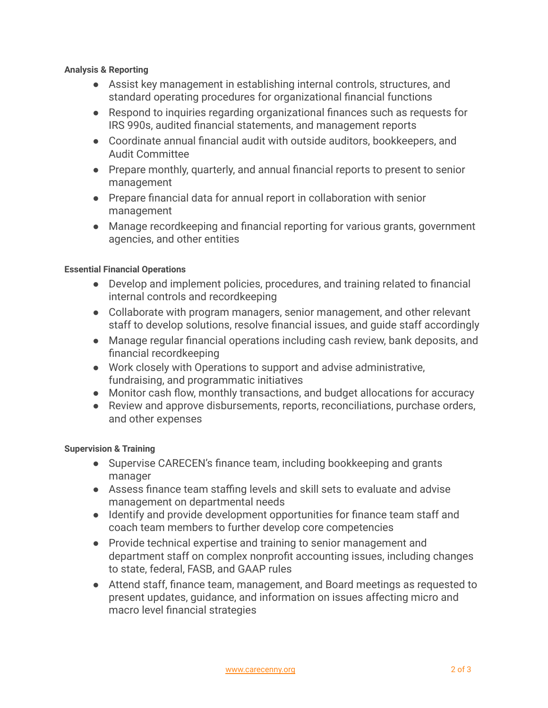#### **Analysis & Reporting**

- Assist key management in establishing internal controls, structures, and standard operating procedures for organizational financial functions
- Respond to inquiries regarding organizational finances such as requests for IRS 990s, audited financial statements, and management reports
- Coordinate annual financial audit with outside auditors, bookkeepers, and Audit Committee
- Prepare monthly, quarterly, and annual financial reports to present to senior management
- Prepare financial data for annual report in collaboration with senior management
- Manage recordkeeping and financial reporting for various grants, government agencies, and other entities

### **Essential Financial Operations**

- Develop and implement policies, procedures, and training related to financial internal controls and recordkeeping
- Collaborate with program managers, senior management, and other relevant staff to develop solutions, resolve financial issues, and guide staff accordingly
- Manage regular financial operations including cash review, bank deposits, and financial recordkeeping
- Work closely with Operations to support and advise administrative, fundraising, and programmatic initiatives
- Monitor cash flow, monthly transactions, and budget allocations for accuracy
- Review and approve disbursements, reports, reconciliations, purchase orders, and other expenses

### **Supervision & Training**

- Supervise CARECEN's finance team, including bookkeeping and grants manager
- Assess finance team staffing levels and skill sets to evaluate and advise management on departmental needs
- Identify and provide development opportunities for finance team staff and coach team members to further develop core competencies
- Provide technical expertise and training to senior management and department staff on complex nonprofit accounting issues, including changes to state, federal, FASB, and GAAP rules
- Attend staff, finance team, management, and Board meetings as requested to present updates, guidance, and information on issues affecting micro and macro level financial strategies